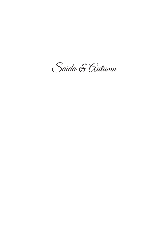Saida & Autumn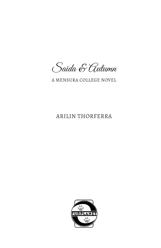Saida & Autumn

A MENSURA COLLEGE NOVEL

## ARILIN THORFERRA

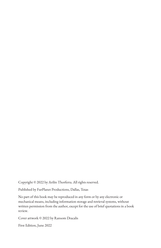Copyright © 2022 by Arilin Thorferra. All rights reserved.

Published by FurPlanet Productions, Dallas, Texas

No part of this book may be reproduced in any form or by any electronic or mechanical means, including information storage and retrieval systems, without written permission from the author, except for the use of brief quotations in a book review.

Cover artwork © 2022 by Ransom Dracalis

First Edition, June 2022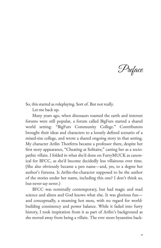Preface

So, this started as roleplaying. Sort of. But not really.

Let me back up.

Many years ago, when dinosaurs roamed the earth and internet forums were still popular, a forum called BigFurs started a shared world setting: "BigFurs Community College." Contributors brought their ideas and characters to a loosely defined scenario of a mixed-size college, and wrote a shared ongoing story in that setting. My character Arilin Thorferra became a professor there, despite her first story appearance, "Cheating at Solitaire," casting her as a sociopathic villain. I folded in what she'd done on FurryMUCK as canonical for BFCC, as she'd become decidedly less villainous over time. (She also obviously became a pen name—and, yes, to a degree her author's fursona. Is Arilin-the-character supposed to be the author of the stories under her name, including this one? I don't think so, but never say never.)

BFCC was nominally contemporary, but had magic and mad science and aliens and God knows what else. It was glorious fun and conceptually, a steaming hot mess, with no regard for worldbuilding consistency and power balance. While it faded into furry history, I took inspiration from it as part of Arilin's background as she moved away from being a villain. The ever more byzantine back‐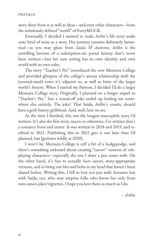story drew from it as well as ideas—and even other characters—from the nebulously defined "world" of FurryMUCK.

Eventually, I decided I wanted to make Arilin's life story make some kind of sense as a story. Her journey remains dubiously fantastical—as you may glean from *Saida & Autumn,* Arilin is the unwilling heroine of a redemption-arc portal fantasy that's never been written—but her new setting has its own identity and own world with its own rules.

The story "Teacher's Pet" introduced the new Mensura College and provided glimpses of the college's uneasy relationship with the (normal-sized) town it's adjacent to, as well as hints of the larger world's history. When I started my Patreon, I decided I'd do a larger Mensura College story. Originally, I planned on a longer sequel to "Teacher's Pet," but a tossed-off joke ended up leading me somewhere else entirely. The joke? That Saida, Arilin's cousin, should have a goth bunny girlfriend. And, well, here we are.

At the time I finished, this was the longest macrophile story I'd written. It's also the first story, macro or otherwise, I've written that's a romance front and center. It was written in 2018 and 2019, and reedited in 2021. Publishing this in 2022 gets it out later than I'd planned, but [gestures wildly at 2020].

I won't lie: Mensura College is *still* a bit of a hodgepodge, and there's something awkward about creating "canon" versions of role‐ playing characters—especially the one I share a pen name with. On the other hand, it's fun to actually *have* canon, story-appropriate versions, and to bring out bits and bobs in my head that haven't been shared before. Writing this, I fell in love not just with Autumn but with Saida, too, who may surprise folks who know her only from non-canon jokes/vignettes. I hope you love them as much as I do.

*– Arilin*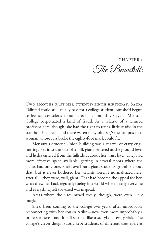CHAPTER 1 The Beanstalk

Two months past her twenty-ninth birthday, Saida Talirend could still usually pass for a college student, but she'd begun to feel self-conscious about it, as if her monthly stays at Mensura College perpetuated a kind of fraud. As a relative of a tenured professor here, though, she had the right to rent a little studio in the staff housing area—and there weren't any places off the campus a cat woman whose ears broke the eighty-foot mark could fit.

Mensura's Student Union building was a marvel of crazy engineering. Set into the side of a hill, giants entered at the ground level and littles entered from the hillside at about her waist level. They had more effective space available, getting in several floors where the giants had only one. She'd overheard giant students grumble about that, but it never bothered her. Giants weren't normal-sized here, after all—they were, well, giant. That had become the appeal for her, what drew her back regularly: being in a world where nearly everyone and everything felt toy-sized was magical.

Areas where the sizes mixed freely, though, were even *more* magical.

She'd been coming to the college two years, after improbably reconnecting with her cousin Arilin—now even more improbably a professor here—and it still seemed like a storybook every visit. The college's clever design subtly kept students of different sizes apart as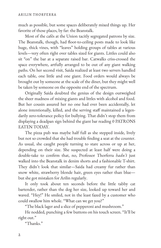much as possible, but some spaces deliberately mixed things up. Her favorite of those places, by far: the Beanstalk.

Most of the cafés at the Union tacitly segregated patrons by size. The Beanstalk, though, had floor-to-ceiling posts made to look like huge, thick vines, with "leaves" holding groups of tables at various levels—very often right over tables sized for giants. Littles could also sit "on" the bar at a separate raised bar. Catwalks criss-crossed the space everywhere, artfully arranged to be out of any giant walking paths. On her second visit, Saida realized at least two servers handled each table, one little and one giant. Food orders would always be brought out by someone at the scale of the diner, but they might well be taken by someone on the opposite end of the spectrum.

Originally Saida doubted the genius of the design outweighed the sheer madness of mixing giants and littles with alcohol and food. But her cousin assured her no one had ever been accidentally, let alone intentionally, killed, and the serving staff maintained a legendarily zero-tolerance policy for bullying. That didn't stop them from displaying a deadpan sign behind the giant bar reading 0 PATRONS EATEN TODAY.

The pizza pub was maybe half full as she stepped inside, lively but not so crowded that she had trouble finding a seat at the counter. As usual, she caught people turning to stare across or up at her, depending on their size. She suspected at least half were doing a double-take to confirm that, no, Professor Thorferra *hadn't* just walked into the Beanstalk in denim shorts and a fashionable T-shirt. They didn't look that similar—Saida had creamy fur rather than snow white, strawberry blonde hair, green eyes rather than blue but she got mistaken for Arilin regularly.

It only took about ten seconds before the little tabby cat bartender, rather than the dog her size, looked up toward her and waved. "Hey!" He smiled, not in the least fazed by a customer who could swallow him whole. "What can we get you?"

"The black lager and a slice of pepperoni and mushroom."

He nodded, punching a few buttons on his touch screen. "It'll be right out."

"Thanks."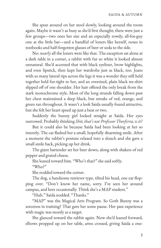She spun around on her stool slowly, looking around the room again. Maybe it wasn't as busy as she'd first thought; there were just a few groups—two ones her size and an especially rowdy, all-fox-guy one at the little bar—and a handful of loners like herself, noses in textbooks and half-forgotten glasses of beer or soda to the side.

No: *nearly* all the loners were like that. The exception sat alone at a dark table in a corner, a rabbit with fur so white it looked almost unnatural. She'd accented that with black eyeliner, brow highlights, and even lipstick, then kept her wardrobe just as black, too. Jeans with so many lateral rips across the legs it was a wonder they still held together held fur-tight to her, and an oversized, plain black tee-shirt slipped off of one shoulder. Her hair offered the only break from the stark monochrome style. Most of the long strands falling down past her chest maintained a deep black, but streaks of red, orange, and green ran throughout. It wasn't a look Saida usually found attractive, but she felt her heart speed up just a beat or two.

Suddenly the bunny girl looked straight at Saida. Her eyes narrowed. Probably thinking *Shit, that's not Professor Thorferra, is it?*

But it could also be because Saida had been looking at her so intently. The cat #ashed her a small, hopefully disarming smile. After a moment the rabbit's posture relaxed into a slouch and she gave a small smile back, picking up her drink.

The giant bartender set her beer down, along with shakers of red pepper and grated cheese.

She leaned toward him. "Who's that?" she said softly.

"Who?"

She nodded toward the corner.

The dog, a handsome retriever type, tilted his head, one ear flopping over. "Don't know her name, sorry. I've seen her around campus, and here occasionally. Think she's a MAP student."

"Huh." Saida nodded. "Thanks."

"MAP" was the Magical Arts Program. So Goth Bunny was a sorceress in training? That gave her some pause. Her past experience with magic was mostly as a target.

She glanced toward the rabbit again. Now she'd leaned forward, elbows propped up on her table, arms crossed, giving Saida a one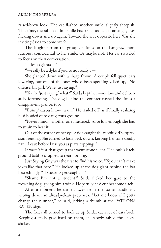raised-brow look. The cat flashed another smile, slightly sheepish. This time, the rabbit didn't smile back; she nodded at an angle, eyes flicking down and up again. Toward the seat opposite her? Was she inviting Saida to come over?

The laughter from the group of littles on the bar grew more raucous, coincidental to her smile. Or maybe not. Her ear swiveled to focus on their conversation.

"—lesbo giants—"

"—really be a dyke if you're not really a—"

She glanced down with a sharp frown. A couple fell quiet, ears lowering, but one of the ones who'd been speaking yelled up, "No offense, big girl. We're just saying."

"You're 'just saying' what?" Saida kept her voice low and deliber‐ ately foreboding. The dog behind the counter flashed the littles a disapproving glance, too.

"Bunny's...you know...was..." He trailed off, as if finally realizing he'd headed onto dangerous ground.

"Never mind," another one muttered, voice low enough she had to strain to hear it.

Out of the corner of her eye, Saida caught the rabbit girl's expres‐ sion freezing. She turned to look back down, keeping her tone deadly flat. "Leave before I use you as pizza toppings."

It wasn't just that group that went stone silent. The pub's background babble dropped to near nothing.

Just Saying Guy was the first to find his voice. "Y-you can't make jokes like that here." He looked up at the dog giant behind the bar beseechingly. "If students get caught—"

"Shame I'm not a student." Saida !icked her gaze to the frowning dog, giving him a wink. Hopefully he'd cut her some slack.

After a moment he turned away from the scene, studiously wiping down an already-clean prep area. "Let me know if I gotta change the number," he said, jerking a thumb at the PATRONS EATEN sign.

The foxes all turned to look at up Saida, each set of ears back. Keeping a steely gaze fixed on them, she slowly raised the cheese shaker.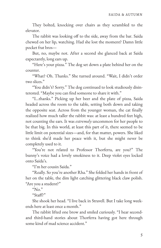They bolted, knocking over chairs as they scrambled to the elevator.

The rabbit was looking off to the side, away from the bar. Saida chewed on her lip, watching. Had she lost the moment? Damn little pocket frat bros—

But, no, maybe not. After a second she glanced back at Saida expectantly, long ears up.

"Here's your pizza." The dog set down a plate behind her on the counter.

"What? Oh. Thanks." She turned around. "Wait, I didn't order two slices."

"You didn't? Sorry." The dog continued to look studiously disin‐ terested. "Maybe you can find someone to share it with."

"I...thanks." Picking up her beer and the plate of pizza, Saida headed across the room to the table, setting both down and taking the opposite seat. Across from the younger woman, the cat finally realized how much taller the rabbit was: at least a hundred feet high, not counting the ears. It was *extremely* uncommon for her people to be that big. In this world, at least this part of it, there seemed to be little limit on potential sizes—and, for that matter, powers. She liked to think she'd made her peace with it, but she might never be completely used to it.

"You're not related to Professor Thorferra, are you?" The bunny's voice had a lovely smokiness to it. Deep violet eyes locked onto Saida's.

"I'm her cousin Saida."

"Really. So you're another Rha." She folded her hands in front of her on the table, the dim light catching glittering black claw polish. "Are you a student?"

" $No.$ "

 $"Staff?"$ 

She shook her head. "I live back in Stravell. But I take long week‐ ends here at least once a month."

The rabbit lifted one brow and smiled curiously. "I hear secondand third-hand stories about Thorferra having got here through some kind of mad science accident."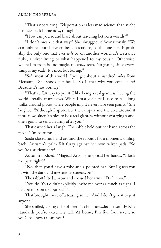"That's not wrong. Teleportation is less mad science than niche business back home now, though."

"How can you sound blasé about traveling between worlds?"

"I don't mean it that way." She shrugged self-consciously. "We can only teleport between beacon stations, so the one here is probably the only one that ever *will* be on another world. It's a strange fluke, a silver lining to what happened to my cousin. Otherwise, where I'm from is...no magic, no crazy tech. No giants, since everything is my scale. It's nice, but boring."

"So's most of this world if you get about a hundred miles from Mensura." She shook her head. "So is that why you come here? Because it's not boring?"

"That's a fair way to put it. I like being a real giantess, having the world literally at my paws. When I first got here I used to take long walks around places where people might never have seen giants." She laughed. "Although I appreciate the campus and the area around it more now, since it's nice to be a real giantess without worrying someone's going to send an army after you."

That earned her a laugh. The rabbit held out her hand across the table. "I'm Autumn."

Saida closed her hand around the rabbit's for a moment, smiling back. Autumn's palm felt fuzzy against her own velvet pads. "So you're a student here?"

Autumn nodded. "Magical Arts." She spread her hands. "I look the part, right?"

"No, then you'd have a robe and a pointed hat. But I guess you fit with the dark and mysterious stereotype."

The rabbit lifted a brow and crossed her arms. "Do I, now."

"You do. You didn't explicitly invite me over as much as signal I had permission to approach."

That brought more of a teasing smile. "And I don't give it to just anyone."

She smiled, taking a sip of beer. "I also know...let me see. By Rha standards you're extremely tall. At home, I'm five foot seven, so you'd be...how tall are you?"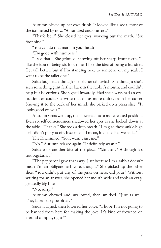Autumn picked up her own drink. It looked like a soda, most of the ice melted by now. "A hundred and one feet."

"That'd be..." She closed her eyes, working out the math. "Six foot nine."

"You can do that math in your head?"

"I'm good with numbers."

"I see that." She grinned, showing off her sharp front teeth. "I like the idea of being six foot nine. I like the idea of being a hundred feet tall better, but if I'm standing next to someone on my scale, I want to be the taller one."

Saida laughed, although she felt her tail twitch. She thought she'd seen something glint farther back in the rabbit's mouth, and couldn't help but be curious. She sighed inwardly. Had she always had an oral fixation, or could she write that off as more quirks from her curse? Shoving it to the back of her mind, she picked up a pizza slice. "It looks good on you."

Autumn's ears went up, then lowered into a more relaxed position. Even so, self-consciousness shadowed her eyes as she looked down at the table. "Thanks." She took a deep breath. "I'm glad those ankle-high jerks didn't put you off. It seemed—I mean, it looked like we had..."

The Rha smiled. "So it wasn't just me."

"No." Autumn relaxed again. "It definitely wasn't."

Saida took another bite of the pizza. "Want any? Although it's not vegetarian."

"The pepperoni gave that away. Just because I'm a rabbit doesn't mean I'm an obligate herbivore, though." She picked up the other slice. "You didn't put any of the jerks on here, did you?" Without waiting for an answer, she opened her mouth wide and took an exaggeratedly big bite.

"No, sorry."

Autumn chewed and swallowed, then smirked. "Just as well. They'd probably be bitter."

Saida laughed, then lowered her voice. "I hope I'm not going to be banned from here for making the joke. It's kind of frowned on around campus, right?"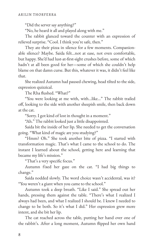"Did the server say anything?"

"No, he heard it all and played along with me."

The rabbit glanced toward the counter with an expression of relieved surprise. "Cool. I think you're safe, then."

They ate their pizza in silence for a few moments. Companionable silence? Maybe. Saida felt...not at ease, not even comfortable, but happy. She'd had lust-at-first-sight crushes before, some of which hadn't at all been good for her—some of which she couldn't help blame on that damn curse. But this, whatever it was, it didn't feel like that.

She realized Autumn had paused chewing, head tilted to the side, expression quizzical.

The Rha flushed. "What?"

"You were looking at me with, with...like..." The rabbit trailed off, looking to the side with another sheepish smile, then back down at the cat.

"Sorry. I got kind of lost in thought in a moment."

"Ah." The rabbit looked just a little disappointed.

Saida bit the inside of her lip. She needed to get the conversation going. "What kind of magic are you studying?"

"Hmm? Oh." She took another bite of pizza. "I started with transformation magic. That's what I came to the school to do. The instant I learned about the school, getting here and learning that became my life's mission."

"That's a very specific focus."

Autumn fixed her gaze on the cat. "I had big things to change."

Saida nodded slowly. The word choice wasn't accidental, was it? "You weren't a giant when you came to the school."

Autumn took a deep breath. "Like I said." She spread out her hands, pressing them against the table. "There's what I realized I always had been, and what I realized I should be. I knew I needed to change to be both. So it's what I did." Her expression grew more intent, and she bit her lip.

The cat reached across the table, putting her hand over one of the rabbit's. After a long moment, Autumn flipped her own hand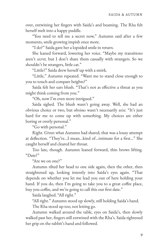over, entwining her fingers with Saida's and beaming. The Rha felt herself melt into a happy puddle.

"You need to tell me a secret now," Autumn said after a few moments, smile growing impish once more.

"I do?" Saida gave her a lopsided smile in return.

She leaned forward, lowering her voice. "Maybe my transitions aren't *secret,* but I don't share them casually with strangers. So we shouldn't be strangers, little cat."

"Little?" Saida drew herself up with a smirk.

"Little," Autumn repeated. "Want me to stand close enough to you to touch and compare heights?"

Saida felt her ears blush. "That's not as effective a threat as you might think coming from you."

"Oh, now I'm even more intrigued."

Saida sighed. The blush wasn't going away. Well, she had an obvious choice or two, but *obvious* wasn't necessarily *wise.* "It's just hard for me to come up with something. My choices are either boring or overly personal."

"Go with personal."

Right. Given what Autumn had shared, that was a lousy attempt at deflection. "They're...I mean...kind of...intimate for a first..." She caught herself and cleared her throat.

Too late, though. Autumn leaned forward, thin brows lifting. "Date?"

"Are we on one?"

Autumn tilted her head to one side again, then the other, then straightened up, looking intently into Saida's eyes again. "That depends on whether you let me lead you out of here holding your hand. If you do, then I'm going to take you to a great coffee place, buy you coffee, and we're going to call this our first date."

Saida laughed. "All right."

"All right." Autumn stood up slowly, still holding Saida's hand.

The Rha stood up too, not letting go.

Autumn walked around the table, eyes on Saida's, then slowly walked past her, fingers still entwined with the Rha's. Saida tightened her grip on the rabbit's hand and followed.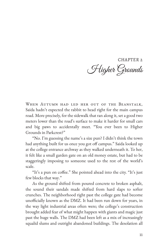CHAPTER<sub>2</sub> Higher Grounds

When Autumn had led her out of the Beanstalk, Saida hadn't expected the rabbit to head right for the main campus road. More precisely, for the sidewalk that ran along it, set a good two meters lower than the road's surface to make it harder for small cars and big paws to accidentally meet. "You ever been to Higher Grounds in Parkcrest?"

"No. I'm guessing the name's a size pun? I didn't think the town had anything built for us once you got off campus." Saida looked up at the college entrance archway as they walked underneath it. To her, it felt like a small garden gate on an old money estate, but had to be staggeringly imposing to someone used to the rest of the world's scale.

"It's a pun on coffee." She pointed ahead into the city. "It's just few blocks that way."

As the ground shifted from poured concrete to broken asphalt, the sound their sandals made shifted from hard slaps to softer crunches. The neighborhood right past the college gate had become unofficially known as the DMZ. It had been run down for years, in the way light industrial areas often were; the college's construction brought added fear of what might happen with giants and magic just past the huge walls. The DMZ had been left as a mix of increasingly squalid slums and outright abandoned buildings. The desolation all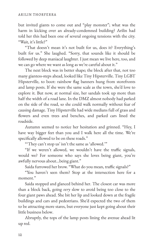but invited giants to come out and "play monster"; what was the harm in kicking over an already-condemned building? Arilin had told her this had been one of several ongoing tensions with the city. "Wait, it's little?"

"That doesn't mean it's not built for us, does it? Everything's built for us." She laughed. "Sorry, that sounds like it should be followed by deep maniacal laughter. I just mean we live here, too, and we can go where we want as long as we're careful about it."

The next block was in better shape; the block after that, not too many giantess-steps ahead, looked like Tiny Hipsterville. Tiny LGBT Hipsterville, to boot: rainbow flag banners hung from storefronts and lamp posts. If she were the same scale as the town, she'd love to explore it. But now, at normal size, her sandals took up more than half the width of a road lane. In the DMZ almost nobody had parked on the side of the road, so she could walk normally without fear of causing damage. Tiny Hipsterville had wide medians full of grass and flowers and even trees and benches, and parked cars lined the roadside.

Autumn seemed to notice her hesitation and grinned. "Hey, I have way bigger feet than you and I walk here all the time. We're specifically allowed to be on these roads."

"'They can't stop us' isn't the same as 'allowed.'"

"If we weren't allowed, we wouldn't have the traffic signals, would we? For someone who says she loves being giant, you're awfully nervous about…being giant."

Saida furrowed her brow. "What do you mean, traffic signals?"

"You haven't seen them? Stop at the intersection here for a moment."

Saida stopped and glanced behind her. The closest car was more than a block back, going *very* slow to avoid being too close to the four giant paws ahead. She bit her lip and looked down at the fragile buildings and cars and pedestrians. She'd expected the two of them to be attracting more stares, but everyone just kept going about their little business below.

Abruptly, the tops of the lamp posts lining the avenue ahead lit up red.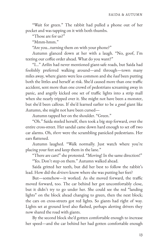"Wait for green." The rabbit had pulled a phone out of her pocket and was tapping on it with both thumbs.

"Those are for us?"

"Mmm-hmm."

"Are you...turning them on with your phone?"

Autumn glanced down at her with a laugh. "No, goof, I'm texting our coffee order ahead. What do you want?"

"I..." Arilin had never mentioned giant-safe roads, but Saida had foolishly preferred walking around—and through—town many miles away, where giants were less common and she *had* been putting both the littles and herself at risk. She'd caused more than one traffic accident, sent more than one crowd of pedestrians screaming away in panic, and angrily kicked one set of traffic lights into a strip mall when she nearly tripped over it. She might not have been a monster, but she'd been callous. If she'd learned earlier to be a *good* giant like Autumn, she might not have been cursed—

Autumn tapped her on the shoulder. "Green."

"Oh." Saida steeled herself, then took a big step forward, over the entire cross-street. Her sandal came down hard enough to set off two car alarms. Oh, *there* were the scrambling panicked pedestrians. Her ears flattened.

Autumn laughed. "Walk normally. Just watch where you're placing your feet and keep them in the lane."

"There are cars!" she protested. "Moving! In the same direction!"

"Yes. Don't step on them." Autumn walked ahead.

Saida gritted her teeth, but did her best to follow the rabbit's lead. How did the *drivers* know where she was putting her feet?

But—somehow—it worked. As she moved forward, the traffic moved forward, too. The car behind her got uncomfortably close, but it didn't try to go under her. She could see the red "landing lights" on the block ahead changing to green, then the next block; the cars on cross-streets got red lights. So giants had right of way. Lights set at ground level also flashed, perhaps alerting drivers they now shared the road with giants.

By the second block she'd gotten comfortable enough to increase her speed—and the car behind her had gotten comfortable enough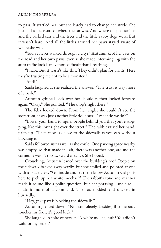to pass. It startled her, but she barely had to change her stride. She just had to be aware of where the car was. And where the pedestrians and the parked cars and the trees and the little yappy dogs were. But it wasn't hard. And all the littles around her paws stayed aware of where she was.

"You've never walked through a city?" Autumn kept her eyes on the road and her own paws, even as she made intermingling with the auto traffic look barely more difficult than breathing.

"I have. But it wasn't like this. They didn't plan for giants. Here they're trusting me not to be a monster."

"And?"

Saida laughed as she realized the answer. "The trust is way more of a rush."

Autumn grinned back over her shoulder, then looked forward again. "Okay." She pointed. "The shop's right there."

The Rha looked down. From her angle, she couldn't see the storefront; it was just another little dollhouse. "What do we do?"

"Lower your hand to signal people behind you that you're stop‐ ping, like this, but right over the street." The rabbit raised her hand, palm up. "Then move as close to the sidewalk as you can without blocking it."

Saida followed suit as well as she could. One parking space nearby was empty, so that made it—ah, there was another one, around the corner. It wasn't too awkward a stance. She hoped.

Crouching, Autumn leaned over the building's roof. People on the sidewalk backed away warily, but she smiled and pointed at one with a black claw. "Go inside and let them know Autumn Caligo is here to pick up her white mochas?" The rabbit's tone and manner made it sound like a polite question, but her phrasing—and size made it more of a command. The fox nodded and ducked in hurriedly.

"Hey, *your* paw is blocking the sidewalk."

Autumn glanced down. "Not completely. Besides, if somebody touches my foot, it's good luck."

She laughed in spite of herself. "A white mocha, huh? You didn't wait for my order."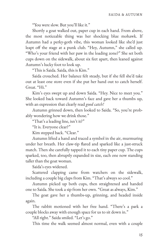"You were slow. But you'll like it."

Shortly a goat walked out, paper cup in each hand. From above, the most noticeable thing was her shocking blue mohawk. If Autumn had a perky-goth vibe, this woman looked like she'd just leapt off the stage at a punk club. "Hey, Autumn," she called up. "Who's your friend with her paw in the loading zone?" She set both cups down on the sidewalk, about six feet apart, then leaned against Autumn's lucky foot to look up.

"This is Saida. Saida, this is Kim."

Saida crouched. Her balance felt steady, but if she fell she'd take out at least one store even if she put her hand out to catch herself. Great. "Hi."

Kim's eyes swept up and down Saida. "Hey. Nice to meet you." She looked back toward Autumn's face and gave her a thumbs up, with an expression that clearly read *good catch!*

Autumn grinned down, then looked to Saida. "So, you're prob‐ ably wondering how we drink those."

"That's a leading line, isn't it?"

"It is. Everyone clear?"

Kim stepped back. "Clear."

Autumn lifted a hand and traced a symbol in the air, murmuring under her breath. Her claw-tip #ared and sparked like a just-struck match. Then she carefully tapped it to each tiny paper cup. The cups sparked, too, then abruptly expanded in size, each one now standing taller than the goat woman.

Saida's eyes widened.

Scattered clapping came from watchers on the sidewalk, including a couple big claps from Kim. "That's always so cool."

Autumn picked up both cups, then straightened and handed one to Saida. She took a sip from her own. "Great as always, Kim."

The goat gave her a thumbs-up, grinning, and headed inside again.

The rabbit motioned with her free hand. "There's a park a couple blocks away with enough space for us to sit down in."

"All right." Saida smiled. "Let's go."

This time the walk seemed almost normal, even with a couple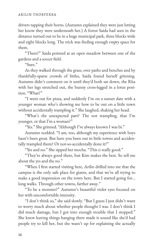drivers tapping their horns. (Autumn explained they were just letting her know they were underneath her.) A forest Saida had seen in the distance turned out to be in a huge municipal park, three blocks wide and eight blocks long. The trick was finding enough *empty* space for them.

"There?" Saida pointed at an open meadow between one of the gardens and a soccer field.

"Sure"

As they walked through the grass, over paths and benches and by thankfully-sparse crowds of littles, Saida found herself grinning. Autumn didn't comment on it until they'd both sat down, the Rha with her legs stretched out, the bunny cross-legged in a lotus position. "What?"

"I went out for pizza, and suddenly I'm on a sunset date with a younger woman who's showing me how to be out on a little town without accidentally trampling it." She laughed, shaking her head.

"What's the unexpected part? The not trampling, that I'm younger, or that I'm a woman?"

"Yes." She grinned. "Although I've always known I was bi."

Autumn nodded. "I am, too, although my experience with boys hasn't been great. But have you been out in little towns and accidentally trampled them? Or not-so-accidentally done it?"

"Yes and no." She sipped her mocha. "This *is* really good."

"They're always good there, but Kim makes the best. So tell me about the yes and the no."

"When I first started visiting here, Arilin drilled into me that the campus is the only safe place for giants, and that we're all trying to make a good impression on the town here. But I started going for… long walks. Through other towns, farther away."

"To be a monster?" Autumn's beautiful violet eyes focused on her with uncomfortable intensity.

"I don't think so," she said slowly. "But I guess I just didn't want to worry much about whether people thought I was. I don't think I did much damage, but I got into enough trouble that I stopped." She knew leaving things hanging there made it sound like she'd had people try to kill her, but she wasn't up for explaining she actually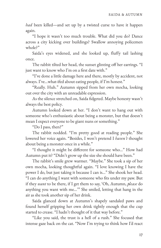*had* been killed—and set up by a twisted curse to have it happen again.

"I hope it wasn't too much trouble. What did you do? Dance across a city kicking over buildings? Swallow annoying policemen whole?"

Saida's eyes widened, and she looked up, fluffy tail lashing once.

The rabbit tilted her head, the sunset glinting off her earrings. "I just want to know who I'm on a first date with."

"I've done a little damage here and there, mostly by accident, not always. I've…what-ifed about eating people, if I'm honest."

"Really. Huh." Autumn sipped from her own mocha, looking out over the city with an unreadable expression.

As the silence stretched on, Saida fidgeted. Maybe honesty wasn't always the best policy.

Autumn looked down at her. "I don't want to hang out with someone who's enthusiastic about being a monster, but that doesn't mean I expect everyone to be giant nuns or something."

"Do I pass, then?"

The rabbit nodded. "I'm pretty good at reading people." She lowered her voice again. "Besides, I won't pretend I *haven't* thought about being a monster once in a while."

"I thought it might be different for someone who..." How had Autumn put it? "Didn't grow up the size she should have been."

The rabbit's smile grew warmer. "Maybe." She took a sip of her own mocha, looking thoughtful again. "I love knowing I have the power I do, but just taking it because I can is…" She shook her head. "I can do anything I want with someone who fits under my paw. But if they *want* to be there, if I get them to say, 'Oh, Autumn, *please* do anything you want with me…'" She smiled, letting that hang in the air as she took another sip of her drink.

Saida glanced down at Autumn's shapely sandaled paws and found herself gripping her own drink tightly enough that the cup started to crease. "I hadn't thought of it that way before."

"Like you said, the trust is a hell of a rush." She focused that intense gaze back on the cat. "Now I'm trying to think how I'd react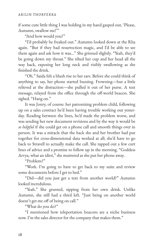if some cute little thing I was holding in my hand gasped out, 'Please, Autumn, swallow me!'"

"And how would you?"

"I'd probably be freaked out." Autumn looked down at the Rha again. "But if they had resurrection magic, and I'd be able to see them again and ask how it was…" She grinned slightly. "Yeah, they'd be going down my throat." She tilted her cup and her head all the way back, exposing her long neck and visibly swallowing as she finished the drink.

"Oh." Saida felt a blush rise to her ears. Before she could think of anything to say, her phone started buzzing. Frowning—but a little relieved at the distraction—she pulled it out of her purse. A text message, relayed from the office through the off-world beacon. She sighed. "Hang on."

It was Jonry, of course: her patronizing problem child, following up on a sales contract he'd been having trouble working out yester‐ day. Reading between the lines, he'd made the problem worse, and was sending her new document revisions and by the way it would be *so helpful* if she could get on a phone call and smooth things over in person. It was a miracle that the hack she and her brother had put together for cross-dimensional data worked at all; she'd have to go back to Stravell to actually make the call. She tapped out a few curt lines of advice and a promise to follow up in the morning. "Goddess Arvya, what an idiot," she muttered as she put her phone away.

"Problem?"

"Work. I'm going to have to get back to my suite and review some documents before I get to bed."

"Did—did you just get a text from another world?" Autumn looked incredulous.

"Yeah." She grunted, sipping from her own drink. Unlike Autumn, she still had a third left. "Just being on another world doesn't get me off of being on call."

"What do you do?"

"I mentioned how teleportation beacons are a niche business now. I'm the sales director for the company that makes them."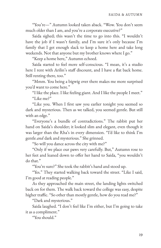"You're—" Autumn looked taken aback. "Wow. You don't seem much older than I am, and you're a corporate executive?"

Saida sighed; this wasn't the time to go into this. "I wouldn't have the job if I wasn't family, and I'm sure it's only because I'm family that I get enough slack to keep a home here and take long weekends. Not that anyone but my brother knows where I go."

"Keep a home here," Autumn echoed.

Saida started to feel more self-conscious. "I mean, it's a studio here I rent with Arilin's staff discount, and I have a flat back home. Still renting there, too."

"Mmm. You being a bigwig over there makes me more surprised you'd want to come here."

"I like the place. I like feeling giant. And I like the people I meet." "Like me?"

"Like you. When I first saw you earlier tonight you seemed so dark and mysterious. Then as we talked, you seemed gentle. But still with an edge."

"Everyone's a bundle of contradictions." The rabbit put her hand on Saida's shoulder; it looked slim and elegant, even though it was larger than the Rha's in every dimension. "I'd like to think I'm gentle *and* dark and mysterious." She grinned.

"So will you dance across the city with me?"

"Only if we place our paws very carefully. But," Autumn rose to her feet and leaned down to offer her hand to Saida, "you wouldn't do that."

"You're sure?" She took the rabbit's hand and stood up.

"Yes." They started walking back toward the street. "Like I said, I'm good at reading people."

As they approached the main street, the landing lights switched back on for them. The walk back toward the college was easy, despite higher traffic. "So other than mostly gentle, how do you read me?"

"Dark and mysterious."

Saida laughed. "I don't feel like I'm either, but I'm going to take it as a compliment."

"You should."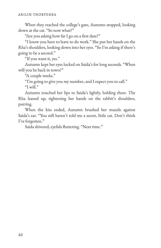When they reached the college's gate, Autumn stopped, looking down at the cat. "So now what?"

"Are you asking how far I go on a first date?"

"I know you have to leave to do work." She put her hands on the Rha's shoulders, looking down into her eyes. "So I'm asking if there's going to be a second."

"If you want it, yes."

Autumn kept her eyes locked on Saida's for long seconds. "When will you be back in town?"

"A couple weeks."

"I'm going to give you my number, and I expect you to call." "I will."

Autumn touched her lips to Saida's lightly, holding there. The Rha leaned up, tightening her hands on the rabbit's shoulders, purring.

When the kiss ended, Autumn brushed her muzzle against Saida's ear. "You still haven't told me a secret, little cat. Don't think I've forgotten."

Saida shivered, eyelids fluttering. "Next time."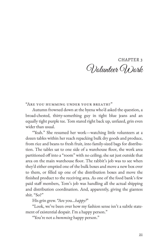## CHAPTER 3 Wolunteer Work

"Are you humming under your breath?"

Autumn frowned down at the hyena who'd asked the question, a broad-chested, thirty-something guy in tight blue jeans and an equally tight purple tee. Tom stared right back up, unfazed, grin even wider than usual.

"Yeah." She resumed her work—watching little volunteers at a dozen tables within her reach repacking bulk dry goods and produce, from rice and beans to fresh fruit, into family-sized bags for distribu‐ tion. The tables sat to one side of a warehouse floor, the work area partitioned off into a "room" with no ceiling; she sat just outside that area on the main warehouse floor. The rabbit's job was to see when they'd either emptied one of the bulk boxes and move a new box over to them, or 3lled up one of the distribution boxes and move the finished product to the receiving area. As one of the food bank's few paid staff members, Tom's job was handling all the actual shipping and distribution coordination. And, apparently, giving the giantess shit. "So?"

His grin grew. "Are you…*happy?*"

"Look, we've been over how my fashion sense isn't a subtle state‐ ment of existential despair. I'm a happy person."

"You're not a *humming* happy person."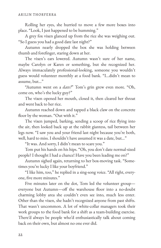Rolling her eyes, she hurried to move a few more boxes into place. "Look, I just happened to be humming."

A grey fox vixen glanced up from the rice she was weighing out. "So I guess you had a good date last night?"

Autumn nearly dropped the box she was holding between thumb and forefinger, staring down at her.

The vixen's ears lowered. Autumn wasn't sure of her name, maybe Carolyn or Karen or something, but she recognized her. Always immaculately professional-looking, someone you wouldn't guess would volunteer monthly at a food bank. "I…didn't mean to assume, but…"

"Autumn went on a *date?*" Tom's grin grew even more. "Oh, come on, who's the lucky guy?"

The vixen opened her mouth, closed it, then cleared her throat and went back to her rice.

Autumn reached down and tapped a black claw on the concrete floor by the woman. "Out with it."

The vixen jumped, barking, sending a scoop of rice flying into the air, then looked back up at the rabbit giantess, tail between her legs now. "I saw you and your friend last night because you're both, well, hard to miss. I shouldn't have assumed it was a date, but…"

"It was. And sorry, I didn't mean to scare you."

Tom put his hands on his hips. "Oh, you don't date normal-sized people? I thought I had a chance! Have you been leading me on?"

Autumn sighed again, returning to her box-moving task. "Some‐ times you're lucky I like your boyfriend."

"I like him, too," he replied in a sing-song voice. "All right, every‐ one, five more minutes."

Five minutes later on the dot, Tom led the volunteer group everyone but Autumn-off the warehouse floor into a no-doubt charming lobby area she couldn't even see into, much less enter. Other than the vixen, she hadn't recognized anyone from past shifts. That wasn't uncommon. A lot of white-collar managers took their work groups to the food bank for a shift as a team-building exercise. There'd always be people who'd enthusiastically talk about coming back on their own, but almost no one ever did.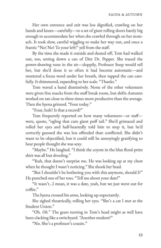Her own entrance and exit was less dignified, crawling on her hands and knees—carefully—to a set of giant rolling doors barely big enough to accommodate her when she crawled through on her stomach. It took slow, careful wiggling to make her way out, and once a frantic "No! No! To your left!" yell from the staff.

By the time she made it outside and dusted off, Tom had walked out, too, setting down a can of Diet Dr. Pepper. She traced the power-drawing rune in the air—sloppily, Professor Snep would tell her, but she'd done it so often it had become automatic—and muttered a focus word under her breath, then tapped the can carefully. It shimmered, expanding to her scale. "Thanks."

Tom waved a hand dismissively. None of the other volunteers were given free snacks from the staff break room, but shifts Autumn worked on ran close to three times more productive than the average. Then the hyena grinned. "Four today."

"Four, huh? Is that a record?"

Tom frequently reported on how many volunteers-or staffwere, quote, "ogling that cute giant puff tail." She'd grimaced and rolled her eyes and half-heartedly told him to stop it, but he'd correctly guessed she was less offended than conflicted. She didn't want to be objectified, but it could still be annoyingly gratifying to hear people thought she was sexy.

"Maybe." He laughed. "I think the coyote in the blue floral print shirt was all but drooling."

"Yeah, that doesn't surprise me. He was looking up at my chest when he thought I wasn't noticing." She shook her head.

"But I shouldn't be bothering you with this anymore, should I?" He punched one of her toes. "Tell me about your date!"

"It wasn't…I mean, it was a date, yeah, but we just went out for coffee."

The hyena crossed his arms, looking up expectantly.

She sighed theatrically, rolling her eyes. "She's a cat I met at the Student Union."

"Oh. *Oh.*" The gears turning in Tom's head might as well have been clacking like a switchyard. "Another student?"

"No. She's a professor's cousin."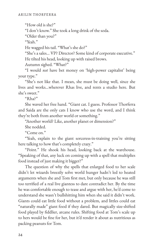"How old is she?"

"I don't know." She took a long drink of the soda.

"Older than you?"

"Yeah."

He wagged his tail. "What's she do?"

"She's a sales… VP? Director? Some kind of corporate executive."

He tilted his head, looking up with raised brows.

Autumn sighed. "What?"

"I would *not* have bet money on 'high-power capitalist' being your type."

"She's not like that. I mean, she must be doing well, since she lives and works…wherever Rhas live, and rents a studio here. But she's sweet."

 $R$ ha?"

She waved her free hand. "Giant cat. I guess. Professor Thorferra and Saida are the only cats I know who use the word, and I think they're both from another world or something."

"Another world? Like, another planet or dimension?"

She nodded.

"Come on."

"Yeah, explain to the giant sorceress-in-training you're sitting here talking to how that's completely crazy."

"Point." He shook his head, looking back at the warehouse. "Speaking of that, any luck on coming up with a spell that multiplies food instead of just making it bigger?"

The question of why the spells that enlarged food to her scale didn't let wizards breezily solve world hunger hadn't led to heated arguments when she and Tom first met, but only because he was still too terrified of a real live giantess to dare contradict her. By the time he was comfortable enough to tease and argue with her, he'd come to understand she wasn't bullshitting him when she said it didn't work. Giants could eat little food without a problem, and littles could eat "naturally made" giant food if they dared. But magically size-shifted food played by fiddlier, arcane rules. Shifting food at Tom's scale up to hers would be fine for her, but it'd render it about as nutritious as packing peanuts for Tom.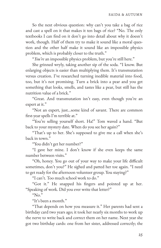So the next obvious question: why can't you take a bag of rice and cast a spell on it that makes it ten bags of rice? "No. The only textbooks I can find on it don't go into detail about why it doesn't work, though. Half of them try to make it sound like a moral ques‐ tion and the other half make it sound like an impossible physics problem, which is probably closer to the truth."

"*You're* an impossible physics problem, but you're still here."

She grinned wryly, taking another sip of the soda. "I know. But enlarging objects is easier than multiplying them. It's transmutation versus creation. I've researched turning inedible material into food, too, but it's not promising. Turn a brick into a pear and you get something that looks, smells, and tastes like a pear, but still has the nutrition value of a brick."

"Great. And transmutation isn't easy, even though you're an expert at it."

"Not an expert, just...some kind of savant. There are common first-year spells I'm terrible at."

"You're selling yourself short. Ha!" Tom waved a hand. "But back to your mystery date. When do you see her again?"

"That's up to her. She's supposed to give me a call when she's back in town."

"You didn't get her number?"

"I gave her mine. I don't know if she even keeps the same number between visits."

"Oh, honey. You go out of your way to make your life difficult sometimes, don't you?" He sighed and patted her toe again. "I need to get ready for the afternoon volunteer group. You staying?"

"I can't. Too much school work to do."

"Got it." He snapped his fingers and pointed up at her. "Speaking of work. Did you ever write that letter?"

" $No.$ "

"It's been a month."

"That depends on how you measure it." Her parents had sent a birthday card two years ago; it took her nearly six months to work up the nerve to write back and correct them on her name. Next year she got two birthday cards: one from her sister, addressed correctly; the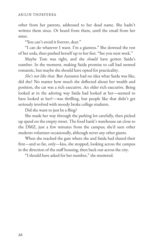other from her parents, addressed to her dead name. She hadn't written them since. Or heard from them, until the email from her sister.

"You can't avoid it forever, dear."

"I can do whatever I want. I'm a giantess." She downed the rest of her soda, then pushed herself up to her feet. "See you next week."

Maybe Tom was right, and she *should* have gotten Saida's number. In the moment, making Saida promise to call had seemed romantic, but maybe she should have opted for practicality.

*She's not like that.* But Autumn had no idea what Saida was like, did she? No matter how much she deflected about her wealth and position, the cat was a rich executive. An older rich executive. Being looked at in the adoring way Saida had looked at her—seemed to have looked at her?—was thrilling, but people like that didn't get seriously involved with moody broke college students.

Did she want to just be a fling?

She made her way through the parking lot carefully, then picked up speed on the empty street. The food bank's warehouse sat close to the DMZ, just a few minutes from the campus; she'd seen other students volunteer occasionally, although never any other giants.

When she reached the gate where she and Saida had shared their first—and so far, only—kiss, she stopped, looking across the campus in the direction of the staff housing, then back out across the city.

"I should have asked for her number," she muttered.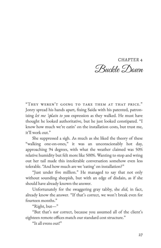CHAPTER 4 Buckle Down

"They weren't going to take them at that price." Jonry spread his hands apart, fixing Saida with his patented, patronizing *let me 'splain to you* expression as they walked. He must have thought he looked authoritative, but he just looked constipated. "I know how much we're eatin' on the installation costs, but trust me, it'll work out."

She suppressed a sigh. As much as she liked the theory of these "walking one-on-ones," it was an unconscionably hot day, approaching 94 degrees, with what the weather claimed was 50% relative humidity but felt more like 500%. Wanting to stop and wring out her tail made this intolerable conversation somehow even less tolerable. "And how much are we 'eating' on installation?"

"Just under five million." He managed to say that not only without sounding sheepish, but with an edge of disdain, as if she should have already known the answer.

Unfortunately for the swaggering gray tabby, she *did,* in fact, already know the answer. "If that's correct, we won't break even for fourteen months."

"Right, but—"

"But that's *not* correct, because you assumed all of the client's eighteen remote offices match our standard cost structure."

"It all evens out!"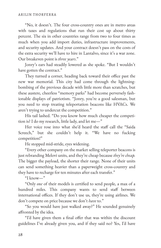"No, it doesn't. The four cross-country ones are in metro areas with taxes and regulations that run their cost up about thirty percent. The six in other countries range from two to four times as much when you add import duties, infrastructure improvements, and security updates. And your contract doesn't pass on the costs of the extra security we'll have to hire in Lantalvo, since it's a war zone. Our breakeven point is *three years*."

Jonry's ears had steadily lowered as she spoke. "But I wouldn't have gotten the contract."

They turned a corner, heading back toward their office past the new war memorial. This city had come through the lightningbombing of the previous decade with little more than scratches, but these austere, cheerless "memory parks" had become perversely fashionable displays of patriotism. "Jonry, you're a good salesman, but you need to stop treating teleportation beacons like HVACs. We aren't trying to undercut the competition."

His tail lashed. "Do you know how much cheaper the competition is? I do my research, little lady, and let me—"

Her voice rose into what she'd heard the staff call the "Saida" Screech," but she couldn't help it. "We have no fucking competition!"

He stopped mid-stride, eyes widening.

"Every other company on the market selling teleporter beacons is just rebranding Melovi units, and they're cheap because *they're cheap.* The bigger the payload, the shorter their range. None of their units can send something heavier than a paperweight cross-country and they have to recharge for ten minutes after each transfer."

"I know—"

"Only *one* of their models is certified to send people, a max of a hundred miles. This company wants to send staff between international offices. If they don't use us, they're using airlines. We don't compete on price because we don't *have* to."

"So you would have just walked away?" He sounded genuinely affronted by the idea.

"I'd have given them a final offer that was within the discount guidelines I've already given you, and if they said no? Yes, I'd have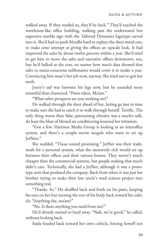walked away. If they needed us, they'd be back." They'd reached the warehouse-like office building, walking past the understated but expensive marble sign with the Talirend Dynamics logotype carved into it. She'd had to push Mradhi hard to replace the sheet metal one, to make *some* attempt at giving the offices an upscale look. It had improved the sales by about twelve percent within a year. She'd tried to get him to move the sales and executive offices downtown, too, but he'd balked at the cost, no matter how much data showed that sales to status-conscious millionaires would cover it in under a year. Convincing him wasn't her job now, anyway. She tried not to grit her teeth.

Jonry's tail was between his legs now, but he sounded more resentful than chastened. "Point taken. Ma'am."

"What other prospects are you working on?"

He walked through the door ahead of her, letting go just in time to make sure she had to catch it to walk through herself. Terrific. The only thing worse than false, patronizing chivalry was a macho sulk. At least the blast of blessed air conditioning lessened her irritation.

"Got a few. Harrison Media Group is looking at an interoffice system, and there's a couple movie moguls who want to set up JetNets."

She nodded. "Those sound promising." JetNet was their trade‐ mark for a personal system, what the excessively rich would set up between their offices and their various homes. They weren't much cheaper than the commercial systems, but people making that much didn't care. Technically, she had a JetNet, although it was a proto‐ type unit that predated the company. Back from when it was just her brother trying to make their late uncle's mad science project into something real.

"Thanks. So." He shuffled back and forth on his paws, keeping his eyes on her but turning the rest of his body back toward his cubicle. "Anything else, ma'am?"

"No. Is there anything you need from me?"

He'd already started to head away. "Nah, we're good," he called, without looking back.

Saida headed back toward her own cubicle, forcing herself not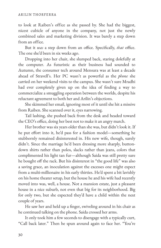to look at Raiben's office as she passed by. She had the biggest, nicest cubicle of anyone in the company, not just the newly combined sales and marketing division. It was barely a step down from an office.

But it *was* a step down from an office. Specifically, *that* office. The one she'd been in six weeks ago.

Dropping into her chair, she slumped back, staring dolefully at the computer. As futuristic as their business had sounded to Autumn, the consumer tech around Mensura was at least a decade ahead of Stravell's. Her PC wasn't as powerful as the *phone* she carried on her weekend visits to the campus. She wasn't sure Mradhi had ever completely given up on the idea of finding a way to commercialize a smuggling operation between the worlds, despite his reluctant agreement to both her and Arilin's objections.

She skimmed her email, ignoring most of it until she hit a missive from Raiben. She scanned over it, eyes narrowing.

Tail lashing, she pushed back from the desk and headed toward the CEO's office, doing her best not to make it an angry march.

Her brother was six years older than she was, but didn't look it. If he put effort into it, he'd pass for a fashion model-something he stubbornly remained disinterested in. His new wife, though, surely didn't. Since the marriage he'd been dressing more sharply, buttondown shirts rather than polos, slacks rather than jeans, colors that complimented his light tan fur—although Saida was still pretty sure he bought off the rack. But his disinterest in "the good life" was also a saving grace, an inoculation against the excesses one might expect from a multi-millionaire in his early thirties. He'd spent a bit lavishly on his home theater setup, but the house he and his wife had recently moved into was, well, a house. Not a mansion estate, just a pleasant house in a nice suburb, not even that big for its neighborhood. Big for only two, but she expected they'd have a child within the next couple of years.

He saw her and held up a finger, swiveling around in his chair as he continued talking on the phone. Saida crossed her arms.

It only took him a few seconds to disengage with a typically curt, "Call back later." Then he spun around again to face her. "You're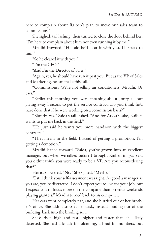here to complain about Raiben's plan to move our sales team to commissions."

She sighed, tail lashing, then turned to close the door behind her. "I'm here to complain about him not even running it by me."

Mradhi frowned. "He said he'd clear it with you. I'll speak to him."

"So he cleared it with you."

"I'm the CEO."

"And I'm the Director of Sales."

"Again, yes, he should have run it past you. But as the VP of Sales and Marketing, he can make this call."

"Commissions? We're not selling air conditioners, Mradhi. Or cars."

"Earlier this morning you were moaning about Jonry all but giving away beacons to get the service contract. Do you think he'd have done that if he were working on a commission basis?"

"Bluntly, yes." Saida's tail lashed. "And for Arvya's sake, Raiben wants to put me back in the field."

"He just said he wants you more hands-on with the biggest contracts."

"That means in the field. Instead of getting a promotion, I'm getting a demotion."

Mradhi leaned forward. "Saida, you've grown into an excellent manager, but when we talked before I brought Raiben in, *you* said you didn't think you were ready to be a VP. Are you reconsidering that?"

Her ears lowered. "No." She sighed. "Maybe."

"I still think your self-assessment was right. As good a manager as you are, you're distracted. I don't expect you to live for your job, but I expect you to focus more on the company than on your weekends playing giantess." Mradhi turned back to his computer.

Her ears went completely flat, and she hurried out of her brother's office. She didn't stop at her desk, instead heading out of the building, back into the broiling sun.

She'd risen high and fast—higher and faster than she likely deserved. She had a knack for planning, a head for numbers, but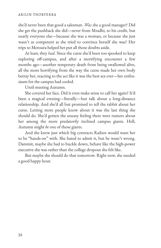she'd never been that good a salesman. *Was* she a good manager? Did she get the pushback she did—never from Mradhi, to his credit, but nearly everyone else—because she was a woman, or because she just wasn't as competent as she tried to convince herself she was? Her trips to Mensura helped her put all those doubts aside.

At least, they *had*. Since the curse she'd been too spooked to keep exploring off-campus, and after a mortifying encounter a few months ago—another temporary death from being swallowed alive, all the more horrifying from the way the curse made her own body betray her, reacting to the act like it was the best sex ever-her enthusiasm for the campus had cooled.

Until meeting Autumn.

She covered her face. Did it even make sense to call her again? It'd been a magical evening—literally—but talk about a long-distance relationship. And she'd all but promised to tell the rabbit about her curse. Letting more people know about it was the last thing she should do. She'd gotten the uneasy feeling there were rumors about her among the more predatorily inclined campus giants. Hell, Autumn might *be* one of those giants.

And she knew just which big contracts Raiben would want her to be "hands-on" with. She hated to admit it, but he wasn't wrong. Dammit, maybe she had to buckle down, behave like the high-power executive she was rather than the college dropout she felt like.

But maybe she should do that tomorrow. Right now, she needed a good happy hour.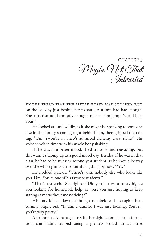CHAPTER 5 Maybe Not That Interested

BY THE THIRD TIME THE LITTLE HUSKY HAD STOPPED JUST on the balcony just behind her to stare, Autumn had had enough. She turned around abruptly enough to make him jump. "Can I help you?"

He looked around wildly, as if she might be speaking to someone else in the library standing right behind him, then gripped the rail‐ ing. "Um. Y-you're in Snep's advanced alchemy class, right?" His voice shook in time with his whole body shaking.

If she was in a better mood, she'd try to sound reassuring, but this wasn't shaping up as a good mood day. Besides, if he was in that class, he had to be at least a second year student, so he should be way over the whole giants-are-so-terrifying thing by now. "Yes."

He nodded quickly. "There's, um, nobody else who looks like you. Um. You're one of his favorite students."

"That's a stretch." She sighed. "Did you just want to say hi, are you looking for homework help, or were you just hoping to keep staring at me without me noticing?"

His ears folded down, although not before she caught them turning bright red. "I…um. I dunno. I was just looking. You're… you're very pretty."

Autumn barely managed to stifle her sigh. Before her transformation, she hadn't realized being a giantess would attract littles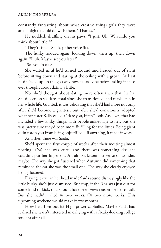constantly fantasizing about what creative things girls they were ankle-high to could do with them. "Thanks."

He nodded, shuffling on his paws. "I just. Uh. What...do you think about littles?"

"They're fine." She kept her voice flat.

The husky nodded again, looking down, then up, then down again. "I, uh. Maybe see you later."

"See you in class."

She waited until he'd turned around and headed out of sight before sitting down and staring at the ceiling with a groan. At least he'd picked up on the go-away-now-please vibe before asking if she'd ever thought about dating a little.

No, she'd thought about dating more often than that, ha ha. She'd been on six dates total since she transitioned, and maybe ten in her whole life. Granted, it was validating that she'd had more not only after she'd become a giantess, but after she'd consciously adopted what her sister Kelly called a "dare you, bitch" look. And, yes, that had included a few kinky things with people ankle-high to her, but she was pretty sure they'd been more fulfilling for the littles. Being giant didn't stop you from being objectified—if anything, it made it worse.

And then there was Saida.

She'd spent the first couple of weeks after their meeting almost floating. *God*, she was cute—and there was something else she couldn't put her finger on. An almost kitten-like sense of wonder, maybe. The way she got flustered when Autumn did something that reminded the cat she was the small one. The way she clearly enjoyed being flustered.

Playing it over in her head made Saida sound dismayingly like the little husky she'd just dismissed. But crap, if the Rha was just out for some kind of kick, that should have been *more* reason for her to call. But she hadn't called in two weeks. Or two more weeks. This upcoming weekend would make it two months.

How had Tom put it? High-power capitalist. Maybe Saida had realized she wasn't interested in dallying with a freaky-looking college student after all.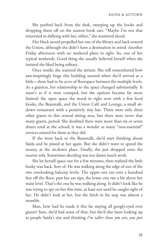She pushed back from the desk, sweeping up the books and dropping them off on the nearest book cart. "Maybe I'm not that interested in dallying with her, either," she muttered aloud.

Her black mood propelled her out of the library and back toward the Union, although she didn't have a destination in mind. Another Friday afternoon with no weekend plans in sight. So, one of her typical weekends. Good thing she usually believed herself when she insisted she liked being solitary.

Once inside, she scanned the atrium. She still remembered how awe-inspiringly huge this building seemed when she'd arrived as a little—there had to be *acres* of floorspace between the multiple levels. As a giantess, her relationship to the space changed substantially. It wasn't as if it were cramped, but the options became far more limited: the open space she stood in right now with a few food kiosks, the Beanstalk, and the Union Café and Lounge, a small sitdown restaurant with a positively tiny bar. There were only three other giants in this central sitting area, but there were never that many giants, period. She doubted there were more than six or seven dozen total at the school; it was a wonder as many "non-essential" services existed for them as they did.

If she went back to the Beanstalk, she'd start thinking about Saida and be pissed at her again. But she didn't want to spend the money at the sit-down place. Finally, she just dropped onto the nearest sofa. Sometimes deciding was too damn much work.

She let herself space out for a few minutes, then realized the little husky was back. Sort of. He was walking along the edge of one of the two overlooking balcony levels. The upper one ran over a hundred feet off the floor, past her ear tips; the lower one ran a bit above her waist level. That's the one he was walking along. It didn't look like he was trying to spy on her this time, at least not until he caught sight of her. He didn't look at her, but the hitch in his step was almost a stumble.

Man, how had he made it this far staying all googly-eyed over giants? Sure, she'd had some of that, but she'd also been looking up at people Saida's size and thinking *I'm taller than you are, you just*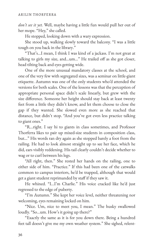*don't see it yet.* Well, maybe having a little fun would pull her out of her mope. "Hey," she called.

He stopped, looking down with a wary expression.

She stood up, walking slowly toward the balcony. "I was a little tough on you back in the library."

"That's…I mean, I think I was kind of a jackass. I'm not great at talking to girls my size, and...um..." He trailed off as she got closer, head tilting back and eyes getting wide.

One of the more unusual mandatory classes at the school, and one of the very few with segregated sizes, was a seminar on little-giant etiquette. Autumn was one of the only students who'd attended the versions for both scales. One of the lessons was that the perception of appropriate personal space didn't scale linearly, but grew with the size difference. Someone her height should stay back at least twenty feet from a little they didn't know, and let them choose to close the gap if they wanted. She slowed even more as she reached that distance, but didn't stop. "And you've got even less practice talking to giant ones."

"R…right. I say hi to giants in class sometimes, and Professor Thorferra likes to pair up mixed-size students in composition class, but…" His words ran dry again as she stopped barely a foot from the railing. He had to look almost straight up to see her face, which he did, ears visibly reddening. His tail clearly couldn't decide whether to wag or to curl between his legs.

"All right, then." She rested her hands on the railing, one to either side of him. "Practice." If this had been one of the catwalks common to campus interiors, he'd be trapped, although that would get a giant student reprimanded by staff if they saw it.

He whined. "I…I'm Charlie." His voice cracked like he'd just regressed to the edge of puberty.

"I'm Autumn." She kept her voice level, neither threatening nor welcoming, eyes remaining locked on him.

"Nice. Um, nice to meet you, I mean." The husky swallowed loudly. "So…um. How's it going up there?"

"Exactly the same as it is for you down there. Being a hundred feet tall doesn't give me my own weather system." She sighed, relent-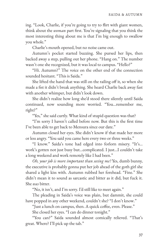ing. "Look, Charlie, if you're going to try to flirt with giant women, think about the *woman* part first. You're signaling that you think the most interesting thing about me is that I'm big enough to swallow you whole."

Charlie's mouth opened, but no noise came out.

Autumn's pocket started buzzing. She pursed her lips, then backed away a step, pulling out her phone. "Hang on." The number wasn't one she recognized, but it was local to campus. "Hello?"

"Hi. Autumn?" The voice on the other end of the connection sounded hesitant. "This is Saida."

She lifted the hand that was still on the railing off it, so when she made a fist it didn't break anything. She heard Charlie back away fast with another whimper, but didn't look down.

She didn't realize how long she'd stood there silently until Saida continued, now sounding more worried. "You…remember me, right?"

"Yes," she said curtly. What kind of stupid question was that?

"I'm sorry I haven't called before now. But this is the first time I've been able to get back to Mensura since our date."

Autumn closed her eyes. She didn't know if that made her more or less angry. "You said you came here every two or three weeks."

"I know." Saida's tone had edged into forlorn misery. "It's… work's gotten not just busy but…complicated. I just…I couldn't take a long weekend and work remotely like I had been."

*Oh, your job is more important than seeing me?* Yes, dumb bunny, the executive is probably gonna put her job ahead of the goth girl she shared a light kiss with. Autumn rubbed her forehead. "Fine." She didn't mean it to sound as sarcastic and bitter as it did, but fuck it. She *was* bitter.

"No, it isn't, and I'm sorry. I'd still like to meet again."

The pleading in Saida's voice was plain, but dammit, she could have popped in any other weekend, couldn't she? "I don't know."

"Just a lunch on campus, then. A quick coffee, even. Please."

She closed her eyes. "I can do dinner tonight."

"You can?" Saida sounded almost comically relieved. "That's great. Where? I'll pick up the tab."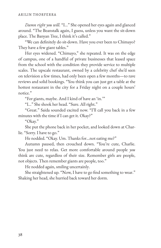*Damn right you will.* "I…" She opened her eyes again and glanced around. "The Beanstalk again, I guess, unless you want the sit-down place. The Banyan Tree, I think it's called."

"We can definitely do sit-down. Have you ever been to Chimayo? They have a few giant tables."

Her eyes widened. "Chimayo," she repeated. It was on the edge of campus, one of a handful of private businesses that leased space from the school with the condition they provide service to multiple scales. The upscale restaurant, owned by a celebrity chef she'd seen on television a few times, had only been open a few months—to rave reviews and solid bookings. "You think you can just get a table at the hottest restaurant in the city for a Friday night on a couple hours' notice."

"For giants, maybe. And I kind of have an 'in.'"

"I…" She shook her head. "Sure. All right."

"Great." Saida sounded excited now. "I'll call you back in a few minutes with the time if I can get it. Okay?"

"Okay."

She put the phone back in her pocket, and looked down at Char‐ lie. "Sorry. I have to go."

He nodded. "Okay. Um. Thanks for…not eating me?"

Autumn paused, then crouched down. "You're cute, Charlie. You just need to relax. Get more comfortable around people *you* think are cute, regardless of their size. Remember girls are people, not objects. Then remember giants are people, too."

He nodded again, smiling uncertainly.

She straightened up. "Now, I have to go find something to wear." Shaking her head, she hurried back toward her dorm.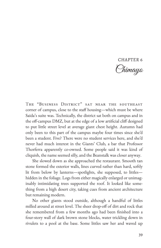CHAPTER 6 Chimayo

The "Business District" sat near the southeast corner of campus, close to the staff housing—which must be where Saida's suite was. Technically, the district sat both on campus and in the off-campus DMZ, but at the edge of a low artificial cliff designed to put little street level at average giant chest height. Autumn had only been to this part of the campus maybe four times since she'd been a student. Five? There were no student services here, and she'd never had much interest in the Giants' Club, a bar that Professor Thorferra apparently co-owned. Some people said it was kind of cliquish, the name seemed silly, and the Beanstalk was closer anyway.

She slowed down as she approached the restaurant. Smooth tan stone formed the exterior walls, lines curved rather than hard, softly lit from below by lanterns—spotlights, she supposed, to littles hidden in the foliage. Logs from either magically enlarged or unimaginably intimidating trees supported the roof. It looked like some‐ thing from a high desert city, taking cues from ancient architecture but remaining modern.

No other giants stood outside, although a handful of littles milled around at street level. The sheer drop-off of dirt and rock that she remembered from a few months ago had been finished into a four-story wall of dark brown stone blocks, water trickling down in rivulets to a pool at the base. Some littles saw her and waved up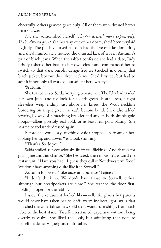cheerfully; others gawked gracelessly. All of them were dressed better than she was.

*No,* she admonished herself. *They're dressed more expensively*. *You're dressed great.* On her way out of her dorm, she'd been waylaid by Judy. The plushly curved raccoon had the eye of a fashion critic, and she'd immediately noticed the unusual lack of rips in Autumn's pair of black jeans. When the rabbit confessed she had a date, Judy briskly ushered her back to her own closet and commanded her to switch to that dark purple, design-free tee (tucked in), bring that black jacket, borrow this silver necklace. She'd bristled, but had to admit it not only all worked, but still fit her own style.

"Autumn!"

She turned to see Saida hurrying toward her. The Rha had traded her own jeans and tee look for a dark green sheath dress, a tight sleeveless wrap ending just above her knees, the V-cut neckline bordering on risqué given the cat's buxom build. She'd also added jewelry, by way of a matching bracelet and anklet, both simple gold hoops—albeit possibly real gold, or at least real gold plating. She started to feel underdressed again.

Before she could say anything, Saida stopped in front of her, looking her up and down. "You look stunning."

"Thanks. So do you."

Saida smiled self-consciously, fluffy tail flicking. "And thanks for giving me another chance." She hesitated, then motioned toward the restaurant. "Have you had…I guess they call it 'Southwestern' food? We don't have anything quite like it in Stravell."

Autumn followed. "Like tacos and burritos? Fajitas?"

"I don't think so. We don't have those in Stravell, either, although our breadpockets are close." She reached the door first, holding it open for the rabbit.

Inside, the restaurant looked like—well, like places her parents would never have taken her to. Soft, warm indirect light, walls that matched the waterfall stones, solid dark wood furnishings from each table to the host stand. Tasteful, restrained, expensive without being overtly excessive. She liked the look, but admitting that even to herself made her vaguely uncomfortable.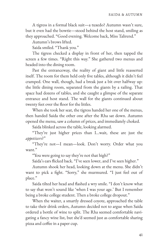A tigress in a formal black suit—a tuxedo? Autumn wasn't sure, but it even had the bowtie—stood behind the host stand, smiling as they approached. "Good evening. Welcome back, Miss Talirend."

Autumn's brows lifted.

Saida smiled. "Thank you."

The tigress checked a display in front of her, then tapped the screen a few times. "Right this way." She gathered two menus and headed into the dining room.

Past the entranceway, the reality of giant and little reasserted itself. The room for them held only five tables, although it didn't feel cramped. One wall, though, had a break just a bit over halfway up: the little dining room, separated from the giants by a railing. That space had dozens of tables, and she caught a glimpse of the separate entrance and host stand. The wall for the giants continued about twenty feet over the floor for the littles.

When she took her seat, the tigress handed her one of the menus, then handed Saida the other one after the Rha sat down. Autumn opened the menu, saw a column of prices, and immediately choked.

Saida blinked across the table, looking alarmed.

"They're just higher prices than I…wait, these are just the *appetizers*?"

"They're not—I mean—look. Don't worry. Order what you want."

"You were going to say they're not that high?"

Saida's ears flicked back. "I've seen lower, and I've seen higher."

Autumn shook her head, looking down at the menu. She didn't want to pick a fight. "Sorry," she murmured. "I just feel out of place."

Saida tilted her head and flashed a wry smile. "I don't know what to say that won't sound like 'when I was your age.' But I remember being a broke college student. Then a broke college dropout."

When the waiter, a smartly dressed coyote, approached the table to take their drink orders, Autumn decided not to argue when Saida ordered a bottle of wine to split. The Rha seemed comfortable navi‐ gating a fancy wine list, but she'd seemed just as comfortable sharing pizza and coffee in a paper cup.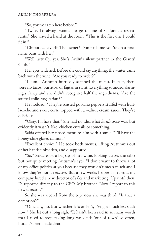"So, you've eaten here before."

"Twice. I'd always wanted to go to one of Chipotle's restau‐ rants." She waved a hand at the room. "This is the first one I could  $fit in.$ "

"Chipotle...Layotl? The owner? Don't tell me you're on a firstname basis with her."

"Well, actually, yes. She's Arilin's silent partner in the Giants'  $Cl<sub>11</sub>b$ <sup>"</sup>

Her eyes widened. Before she could say anything, the waiter came back with the wine. "Are you ready to order?"

"I…um." Autumn hurriedly scanned the menu. In fact, there were no tacos, burritos, or fajitas in sight. Everything sounded alarm‐ ingly fancy and she didn't recognize half the ingredients. "Are the stuffed chiles vegetarian?"

He nodded. "They're roasted poblano peppers stuffed with huitlacoche and sweet corn, topped with a walnut cream sauce. They're delicious."

"Okay. I'll have that." She had no idea what *huitlacoche* was, but evidently it wasn't, like, chicken entrails or something.

Saida offered her closed menu to him with a smile. "I'll have the honey-chile glazed salmon."

"Excellent choice." He took both menus, lifting Autumn's out of her hands unbidden, and disappeared.

"So." Saida took a big sip of her wine, looking across the table but not quite meeting Autumn's eyes. "I don't want to throw a lot of my office politics at you because they wouldn't mean much and I know they're not an excuse. But a few weeks before I met you, my company hired a new director of sales and marketing. Up until then, I'd reported directly to the CEO. My brother. Now I report to this new director."

So she was second from the top, now she was third. "Is that a demotion?"

"Officially, no. But whether it is or isn't, I've got much less slack now." She let out a long sigh. "It hasn't been said in so many words that I need to stop taking long weekends 'out of town' so often, but…it's been made clear."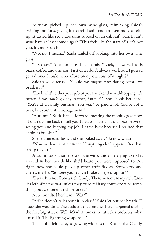Autumn picked up her own wine glass, mimicking Saida's swirling motions, giving it a careful sniff and an even more careful sip. It tasted like red grape skins rubbed on an oak leaf. Gah. Didn't wine have at least some sugar? "This feels like the start of a 'it's not you, it's me' speech."

"No, no. I mean..." Saida trailed off, looking into her own wine glass.

"It's okay." Autumn spread her hands. "Look, all we've had is pizza, coffee, and one kiss. First dates don't always work out. I guess I get a dinner I could never afford on my own out of it, right?"

Saida's voice tensed. "Could we maybe *start* dating before we break up?"

"Look, if it's either your job or your weekend world-hopping, it's better if we *don't* go any farther, isn't it?" She shook her head. "You're at a family business. You *must* be paid a lot. You've got a boss, but you're still management."

"Autumn." Saida leaned forward, meeting the rabbit's gaze now. "I didn't come back to tell you I had to make a hard choice between seeing you and keeping my job. I came back because I realized that choice is bullshit."

She felt her ears flush, and she looked away. "So now what?"

"Now we have a nice dinner. If anything else happens after that, it's up to you."

Autumn took another sip of the wine, this time trying to roll it around in her mouth like she'd heard you were supposed to. All right, now she could pick up other fruit flavors. Strawberry and cherry, maybe. "So were you really a broke college dropout?"

"I was. I'm not from a rich family. There weren't many rich fami‐ lies left after the war unless they were military contractors or some‐ thing, but we weren't rich before it."

Autumn tilted her head. "War?"

"Arilin doesn't talk about it in class?" Saida let out her breath. "I guess she wouldn't. The accident that sent her here happened during the first big attack. Well, Mradhi thinks the attack's probably what caused it. The lightning weapons—"

The rabbit felt her eyes growing wider as the Rha spoke. Clearly,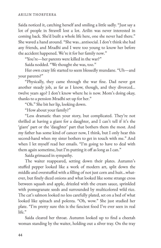Saida noticed it, catching herself and smiling a little sadly. "Just say a lot of people in Stravell lost a lot. Arilin was never interested in coming back. She'd built a whole life here, one she never had there." She waved a hand around. "She was…antisocial. I don't think she had any friends, and Mradhi and I were too young to know her before the accident happened. We're it for her family now."

"You're—her parents were killed in the war?"

Saida nodded. "We thought she was, too."

Her own crazy life started to seem blessedly mundane. "Uh—and your parents?"

"Physically, they came through the war fine. Dad never got another steady job, as far as I know, though, and they divorced… twelve years ago? I don't know where he is now. Mom's doing okay, thanks to a pension Mradhi set up for her."

"Oh." She bit her lip, looking down.

"How about your family?"

"Less dramatic than your story, but complicated. They're not thrilled at having a giant for a daughter, and I can't tell if it's the 'giant' part or the 'daughter' part that bothers them the most. And my father has some kind of cancer now, I think, but I only hear this second-hand when my sister bothers to get in touch with me." And when I let myself read her emails. "I'm going to have to deal with them again sometime, but I'm putting it off as long as I can."

Saida grimaced in sympathy.

The waiter reappeared, setting down their plates. Autumn's stuffed pepper looked like a work of modern art, split down the middle and overstuffed with a filling of not just corn and huit...whatever, but finely diced onions and what looked like some strange cross between squash and apple, drizzled with the cream sauce, sprinkled with pomegranate seeds and surrounded by multicolored wild rice. The cat's salmon looked no less carefully plated, set on a bed of what looked like spinach and polenta. "Oh, wow." She just studied her plate. "I'm pretty sure this is the fanciest food I've ever seen in real life."

Saida cleared her throat. Autumn looked up to find a cheetah woman standing by the waiter, holding out a silver tray. On the tray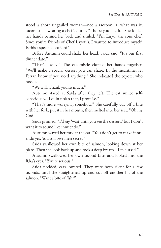stood a short ringtailed woman—not a raccoon, a, what was it, cacomistle—wearing a chef's outfit. "I hope you like it." She folded her hands behind her back and smiled. "I'm Luyu, the sous chef. Since you're friends of Chef Layotl's, I wanted to introduce myself. Is this a special occasion?"

Before Autumn could shake her head, Saida said, "It's our first dinner date."

"That's lovely!" The cacomistle clasped her hands together. "We'll make a special dessert you can share. In the meantime, let Ferran know if you need anything," She indicated the coyote, who nodded.

"We will. Thank you so much."

Autumn stared at Saida after they left. The cat smiled selfconsciously. "I didn't plan that, I promise."

"That's more worrying, somehow." She carefully cut off a bite with her fork, put it in her mouth, then melted into her seat. "Oh my God."

Saida grinned. "I'd say 'wait until you see the dessert,' but I don't want it to sound like innuendo."

Autumn waved her fork at the cat. "You don't get to make innu‐ endo yet. You still owe me a secret."

Saida swallowed her own bite of salmon, looking down at her plate. Then she look back up and took a deep breath. "I'm cursed."

Autumn swallowed her own second bite, and looked into the Rha's eyes. "You're serious."

Saida nodded, ears lowered. They were both silent for a few seconds, until she straightened up and cut off another bit of the salmon. "Want a bite of fish?"